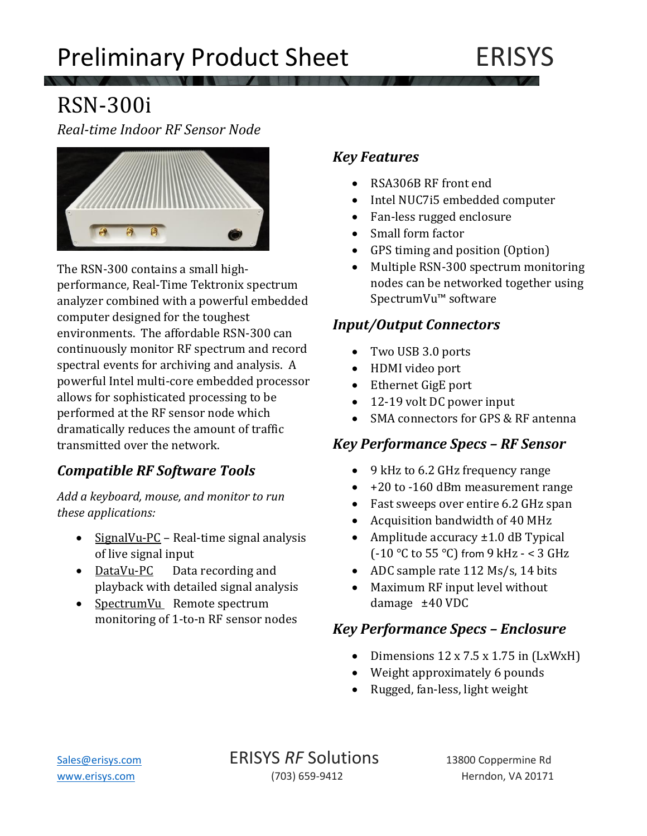

# RSN-300i

*Real-time Indoor RF Sensor Node* 



The RSN-300 contains a small highperformance, Real-Time Tektronix spectrum analyzer combined with a powerful embedded computer designed for the toughest environments. The affordable RSN-300 can continuously monitor RF spectrum and record spectral events for archiving and analysis. A powerful Intel multi-core embedded processor allows for sophisticated processing to be performed at the RF sensor node which dramatically reduces the amount of traffic transmitted over the network.

# *Compatible RF Software Tools*

*Add a keyboard, mouse, and monitor to run these applications:*

- SignalVu-PC Real-time signal analysis of live signal input
- DataVu-PC Data recording and playback with detailed signal analysis
- SpectrumVu Remote spectrum monitoring of 1-to-n RF sensor nodes

#### *Key Features*

- RSA306B RF front end
- Intel NUC7i5 embedded computer
- Fan-less rugged enclosure
- Small form factor
- GPS timing and position (Option)
- Multiple RSN-300 spectrum monitoring nodes can be networked together using SpectrumVu™ software

### *Input/Output Connectors*

- Two USB 3.0 ports
- HDMI video port
- Ethernet GigE port
- 12-19 volt DC power input
- SMA connectors for GPS & RF antenna

### *Key Performance Specs – RF Sensor*

- 9 kHz to 6.2 GHz frequency range
- +20 to -160 dBm measurement range
- Fast sweeps over entire 6.2 GHz span
- Acquisition bandwidth of 40 MHz
- Amplitude accuracy ±1.0 dB Typical (-10 °C to 55 °C) from 9 kHz - < 3 GHz
- ADC sample rate 112 Ms/s, 14 bits
- Maximum RF input level without damage ±40 VDC

# *Key Performance Specs – Enclosure*

- Dimensions 12 x 7.5 x 1.75 in (LxWxH)
- Weight approximately 6 pounds
- Rugged, fan-less, light weight

[Sales@erisys.com](mailto:Sales@erisys.com) **ERISYS RF** Solutions 13800 Coppermine Rd [www.erisys.com](http://www.erisys.com/) (703) 659-9412 Herndon, VA 20171